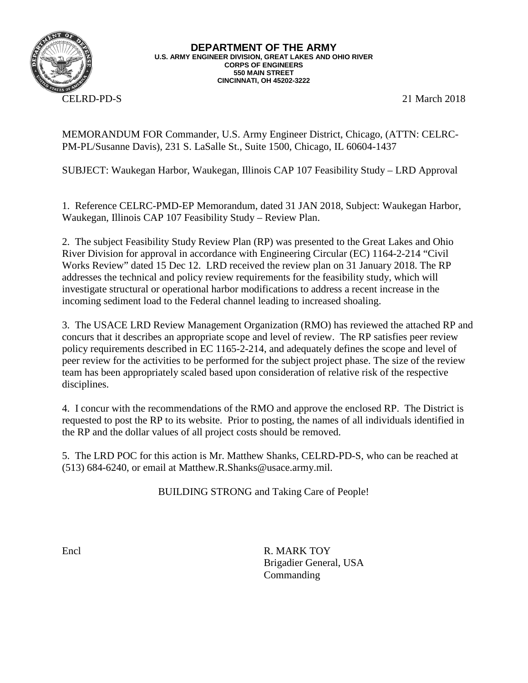

CELRD-PD-S 21 March 2018

MEMORANDUM FOR Commander, U.S. Army Engineer District, Chicago, (ATTN: CELRC-PM-PL/Susanne Davis), 231 S. LaSalle St., Suite 1500, Chicago, IL 60604-1437

SUBJECT: Waukegan Harbor, Waukegan, Illinois CAP 107 Feasibility Study – LRD Approval

1. Reference CELRC-PMD-EP Memorandum, dated 31 JAN 2018, Subject: Waukegan Harbor, Waukegan, Illinois CAP 107 Feasibility Study – Review Plan.

2. The subject Feasibility Study Review Plan (RP) was presented to the Great Lakes and Ohio River Division for approval in accordance with Engineering Circular (EC) 1164-2-214 "Civil Works Review" dated 15 Dec 12. LRD received the review plan on 31 January 2018. The RP addresses the technical and policy review requirements for the feasibility study, which will investigate structural or operational harbor modifications to address a recent increase in the incoming sediment load to the Federal channel leading to increased shoaling.

3. The USACE LRD Review Management Organization (RMO) has reviewed the attached RP and concurs that it describes an appropriate scope and level of review. The RP satisfies peer review policy requirements described in EC 1165-2-214, and adequately defines the scope and level of peer review for the activities to be performed for the subject project phase. The size of the review team has been appropriately scaled based upon consideration of relative risk of the respective disciplines.

4. I concur with the recommendations of the RMO and approve the enclosed RP. The District is requested to post the RP to its website. Prior to posting, the names of all individuals identified in the RP and the dollar values of all project costs should be removed.

5. The LRD POC for this action is Mr. Matthew Shanks, CELRD-PD-S, who can be reached at (513) 684-6240, or email at Matthew.R.Shanks@usace.army.mil.

BUILDING STRONG and Taking Care of People!

Encl R. MARK TOY Brigadier General, USA **Commanding**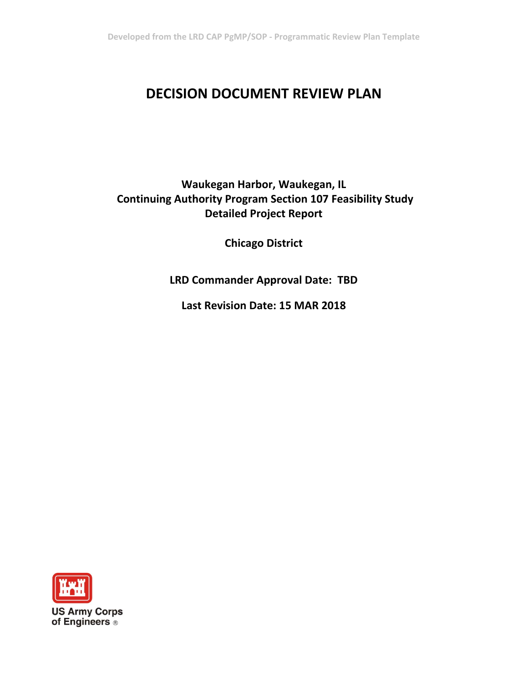# **DECISION DOCUMENT REVIEW PLAN**

# **Waukegan Harbor, Waukegan, IL Continuing Authority Program Section 107 Feasibility Study Detailed Project Report**

**Chicago District**

**LRD Commander Approval Date: TBD**

**Last Revision Date: 15 MAR 2018**

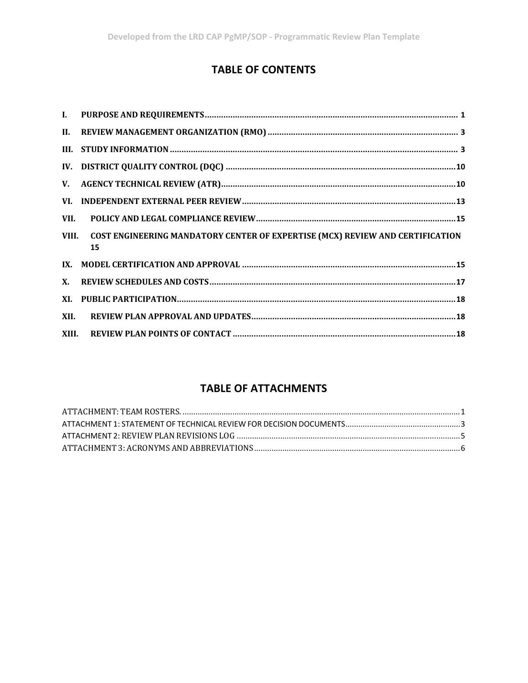# **TABLE OF CONTENTS**

| VII.      |                                                                                           |
|-----------|-------------------------------------------------------------------------------------------|
|           |                                                                                           |
|           | VIII. COST ENGINEERING MANDATORY CENTER OF EXPERTISE (MCX) REVIEW AND CERTIFICATION<br>15 |
|           |                                                                                           |
| <b>X.</b> |                                                                                           |
| XI.       |                                                                                           |
| XII.      |                                                                                           |

# **TABLE OF ATTACHMENTS**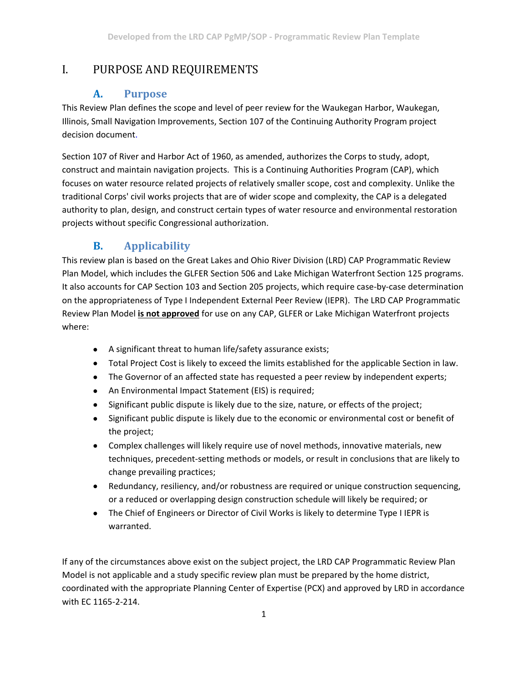# I. PURPOSE AND REQUIREMENTS

## **A. Purpose**

This Review Plan defines the scope and level of peer review for the Waukegan Harbor, Waukegan, Illinois, Small Navigation Improvements, Section 107 of the Continuing Authority Program project decision document.

Section 107 of River and Harbor Act of 1960, as amended, authorizes the Corps to study, adopt, construct and maintain navigation projects. This is a Continuing Authorities Program (CAP), which focuses on water resource related projects of relatively smaller scope, cost and complexity. Unlike the traditional Corps' civil works projects that are of wider scope and complexity, the CAP is a delegated authority to plan, design, and construct certain types of water resource and environmental restoration projects without specific Congressional authorization.

# **B. Applicability**

This review plan is based on the Great Lakes and Ohio River Division (LRD) CAP Programmatic Review Plan Model, which includes the GLFER Section 506 and Lake Michigan Waterfront Section 125 programs. It also accounts for CAP Section 103 and Section 205 projects, which require case-by-case determination on the appropriateness of Type I Independent External Peer Review (IEPR). The LRD CAP Programmatic Review Plan Model **is not approved** for use on any CAP, GLFER or Lake Michigan Waterfront projects where:

- A significant threat to human life/safety assurance exists;
- Total Project Cost is likely to exceed the limits established for the applicable Section in law.
- The Governor of an affected state has requested a peer review by independent experts;
- An Environmental Impact Statement (EIS) is required;
- Significant public dispute is likely due to the size, nature, or effects of the project;
- Significant public dispute is likely due to the economic or environmental cost or benefit of the project;
- Complex challenges will likely require use of novel methods, innovative materials, new techniques, precedent-setting methods or models, or result in conclusions that are likely to change prevailing practices;
- Redundancy, resiliency, and/or robustness are required or unique construction sequencing, or a reduced or overlapping design construction schedule will likely be required; or
- The Chief of Engineers or Director of Civil Works is likely to determine Type I IEPR is warranted.

If any of the circumstances above exist on the subject project, the LRD CAP Programmatic Review Plan Model is not applicable and a study specific review plan must be prepared by the home district, coordinated with the appropriate Planning Center of Expertise (PCX) and approved by LRD in accordance with EC 1165-2-214.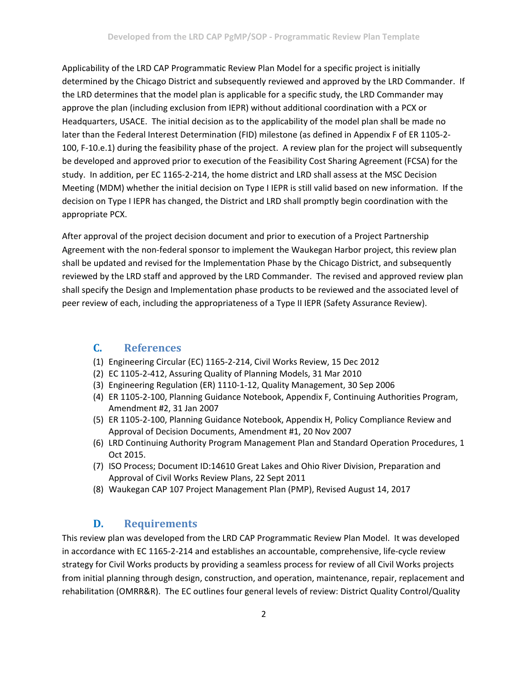Applicability of the LRD CAP Programmatic Review Plan Model for a specific project is initially determined by the Chicago District and subsequently reviewed and approved by the LRD Commander. If the LRD determines that the model plan is applicable for a specific study, the LRD Commander may approve the plan (including exclusion from IEPR) without additional coordination with a PCX or Headquarters, USACE. The initial decision as to the applicability of the model plan shall be made no later than the Federal Interest Determination (FID) milestone (as defined in Appendix F of ER 1105-2- 100, F-10.e.1) during the feasibility phase of the project. A review plan for the project will subsequently be developed and approved prior to execution of the Feasibility Cost Sharing Agreement (FCSA) for the study. In addition, per EC 1165-2-214, the home district and LRD shall assess at the MSC Decision Meeting (MDM) whether the initial decision on Type I IEPR is still valid based on new information. If the decision on Type I IEPR has changed, the District and LRD shall promptly begin coordination with the appropriate PCX.

After approval of the project decision document and prior to execution of a Project Partnership Agreement with the non-federal sponsor to implement the Waukegan Harbor project, this review plan shall be updated and revised for the Implementation Phase by the Chicago District, and subsequently reviewed by the LRD staff and approved by the LRD Commander. The revised and approved review plan shall specify the Design and Implementation phase products to be reviewed and the associated level of peer review of each, including the appropriateness of a Type II IEPR (Safety Assurance Review).

#### **C. References**

- (1) Engineering Circular (EC) 1165-2-214, Civil Works Review, 15 Dec 2012
- (2) EC 1105-2-412, Assuring Quality of Planning Models, 31 Mar 2010
- (3) Engineering Regulation (ER) 1110-1-12, Quality Management, 30 Sep 2006
- (4) ER 1105-2-100, Planning Guidance Notebook, Appendix F, Continuing Authorities Program, Amendment #2, 31 Jan 2007
- (5) ER 1105-2-100, Planning Guidance Notebook, Appendix H, Policy Compliance Review and Approval of Decision Documents, Amendment #1, 20 Nov 2007
- (6) LRD Continuing Authority Program Management Plan and Standard Operation Procedures, 1 Oct 2015.
- (7) ISO Process; Document ID:14610 Great Lakes and Ohio River Division, Preparation and Approval of Civil Works Review Plans, 22 Sept 2011
- (8) Waukegan CAP 107 Project Management Plan (PMP), Revised August 14, 2017

#### **D. Requirements**

This review plan was developed from the LRD CAP Programmatic Review Plan Model. It was developed in accordance with EC 1165-2-214 and establishes an accountable, comprehensive, life-cycle review strategy for Civil Works products by providing a seamless process for review of all Civil Works projects from initial planning through design, construction, and operation, maintenance, repair, replacement and rehabilitation (OMRR&R). The EC outlines four general levels of review: District Quality Control/Quality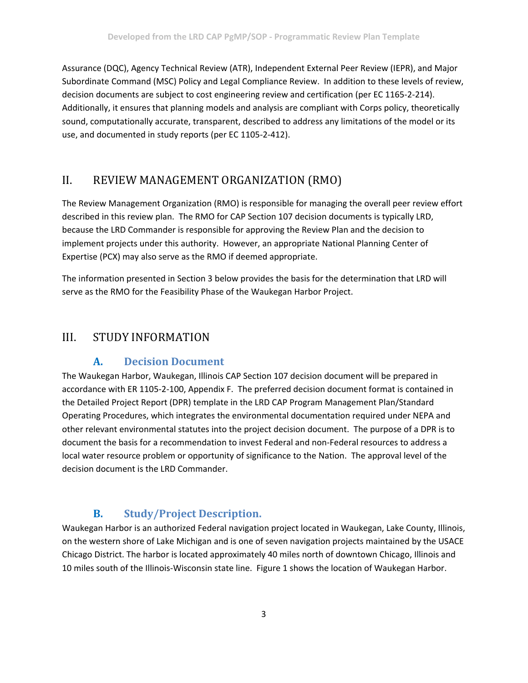Assurance (DQC), Agency Technical Review (ATR), Independent External Peer Review (IEPR), and Major Subordinate Command (MSC) Policy and Legal Compliance Review. In addition to these levels of review, decision documents are subject to cost engineering review and certification (per EC 1165-2-214). Additionally, it ensures that planning models and analysis are compliant with Corps policy, theoretically sound, computationally accurate, transparent, described to address any limitations of the model or its use, and documented in study reports (per EC 1105-2-412).

## II. REVIEW MANAGEMENT ORGANIZATION (RMO)

The Review Management Organization (RMO) is responsible for managing the overall peer review effort described in this review plan. The RMO for CAP Section 107 decision documents is typically LRD, because the LRD Commander is responsible for approving the Review Plan and the decision to implement projects under this authority. However, an appropriate National Planning Center of Expertise (PCX) may also serve as the RMO if deemed appropriate.

The information presented in Section 3 below provides the basis for the determination that LRD will serve as the RMO for the Feasibility Phase of the Waukegan Harbor Project.

### III. STUDY INFORMATION

#### **A. Decision Document**

The Waukegan Harbor, Waukegan, Illinois CAP Section 107 decision document will be prepared in accordance with ER 1105-2-100, Appendix F. The preferred decision document format is contained in the Detailed Project Report (DPR) template in the LRD CAP Program Management Plan/Standard Operating Procedures, which integrates the environmental documentation required under NEPA and other relevant environmental statutes into the project decision document. The purpose of a DPR is to document the basis for a recommendation to invest Federal and non-Federal resources to address a local water resource problem or opportunity of significance to the Nation. The approval level of the decision document is the LRD Commander.

### **B. Study/Project Description.**

Waukegan Harbor is an authorized Federal navigation project located in Waukegan, Lake County, Illinois, on the western shore of Lake Michigan and is one of seven navigation projects maintained by the USACE Chicago District. The harbor is located approximately 40 miles north of downtown Chicago, Illinois and 10 miles south of the Illinois-Wisconsin state line. Figure 1 shows the location of Waukegan Harbor.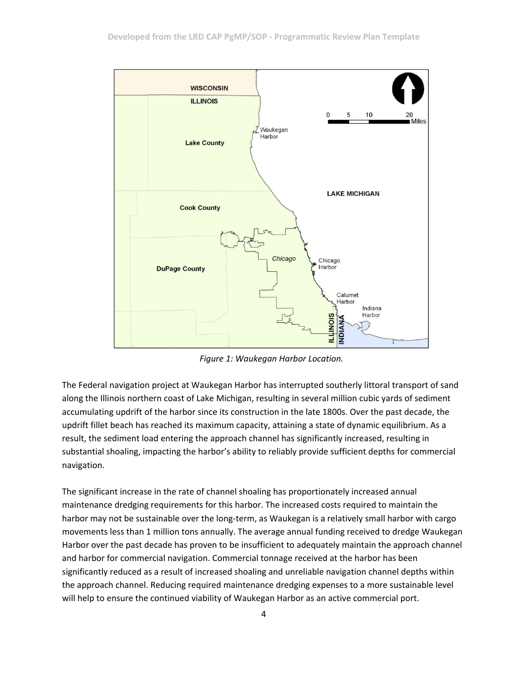

*Figure 1: Waukegan Harbor Location.*

The Federal navigation project at Waukegan Harbor has interrupted southerly littoral transport of sand along the Illinois northern coast of Lake Michigan, resulting in several million cubic yards of sediment accumulating updrift of the harbor since its construction in the late 1800s. Over the past decade, the updrift fillet beach has reached its maximum capacity, attaining a state of dynamic equilibrium. As a result, the sediment load entering the approach channel has significantly increased, resulting in substantial shoaling, impacting the harbor's ability to reliably provide sufficient depths for commercial navigation.

The significant increase in the rate of channel shoaling has proportionately increased annual maintenance dredging requirements for this harbor. The increased costs required to maintain the harbor may not be sustainable over the long-term, as Waukegan is a relatively small harbor with cargo movements less than 1 million tons annually. The average annual funding received to dredge Waukegan Harbor over the past decade has proven to be insufficient to adequately maintain the approach channel and harbor for commercial navigation. Commercial tonnage received at the harbor has been significantly reduced as a result of increased shoaling and unreliable navigation channel depths within the approach channel. Reducing required maintenance dredging expenses to a more sustainable level will help to ensure the continued viability of Waukegan Harbor as an active commercial port.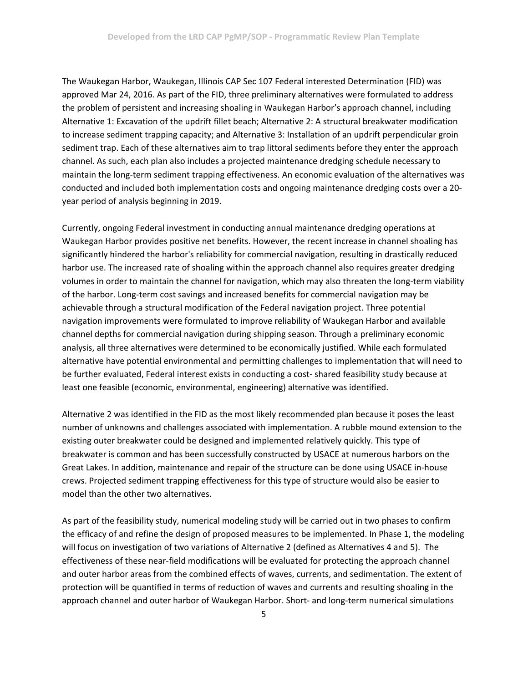The Waukegan Harbor, Waukegan, Illinois CAP Sec 107 Federal interested Determination (FID) was approved Mar 24, 2016. As part of the FID, three preliminary alternatives were formulated to address the problem of persistent and increasing shoaling in Waukegan Harbor's approach channel, including Alternative 1: Excavation of the updrift fillet beach; Alternative 2: A structural breakwater modification to increase sediment trapping capacity; and Alternative 3: Installation of an updrift perpendicular groin sediment trap. Each of these alternatives aim to trap littoral sediments before they enter the approach channel. As such, each plan also includes a projected maintenance dredging schedule necessary to maintain the long-term sediment trapping effectiveness. An economic evaluation of the alternatives was conducted and included both implementation costs and ongoing maintenance dredging costs over a 20 year period of analysis beginning in 2019.

Currently, ongoing Federal investment in conducting annual maintenance dredging operations at Waukegan Harbor provides positive net benefits. However, the recent increase in channel shoaling has significantly hindered the harbor's reliability for commercial navigation, resulting in drastically reduced harbor use. The increased rate of shoaling within the approach channel also requires greater dredging volumes in order to maintain the channel for navigation, which may also threaten the long-term viability of the harbor. Long-term cost savings and increased benefits for commercial navigation may be achievable through a structural modification of the Federal navigation project. Three potential navigation improvements were formulated to improve reliability of Waukegan Harbor and available channel depths for commercial navigation during shipping season. Through a preliminary economic analysis, all three alternatives were determined to be economically justified. While each formulated alternative have potential environmental and permitting challenges to implementation that will need to be further evaluated, Federal interest exists in conducting a cost- shared feasibility study because at least one feasible (economic, environmental, engineering) alternative was identified.

Alternative 2 was identified in the FID as the most likely recommended plan because it poses the least number of unknowns and challenges associated with implementation. A rubble mound extension to the existing outer breakwater could be designed and implemented relatively quickly. This type of breakwater is common and has been successfully constructed by USACE at numerous harbors on the Great Lakes. In addition, maintenance and repair of the structure can be done using USACE in-house crews. Projected sediment trapping effectiveness for this type of structure would also be easier to model than the other two alternatives.

As part of the feasibility study, numerical modeling study will be carried out in two phases to confirm the efficacy of and refine the design of proposed measures to be implemented. In Phase 1, the modeling will focus on investigation of two variations of Alternative 2 (defined as Alternatives 4 and 5). The effectiveness of these near-field modifications will be evaluated for protecting the approach channel and outer harbor areas from the combined effects of waves, currents, and sedimentation. The extent of protection will be quantified in terms of reduction of waves and currents and resulting shoaling in the approach channel and outer harbor of Waukegan Harbor. Short- and long-term numerical simulations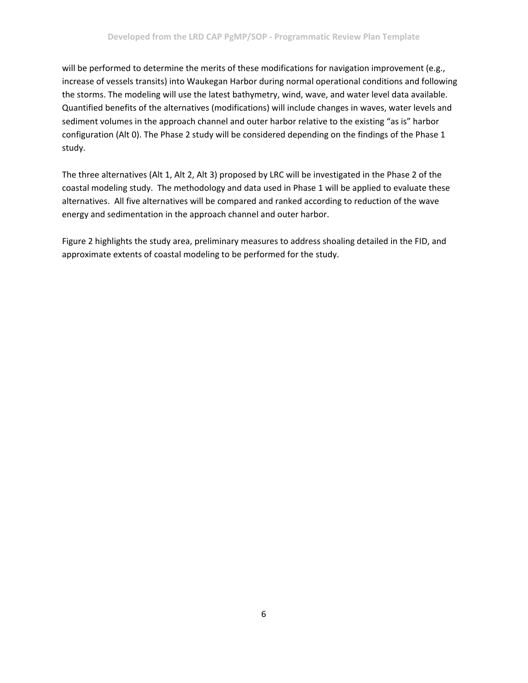will be performed to determine the merits of these modifications for navigation improvement (e.g., increase of vessels transits) into Waukegan Harbor during normal operational conditions and following the storms. The modeling will use the latest bathymetry, wind, wave, and water level data available. Quantified benefits of the alternatives (modifications) will include changes in waves, water levels and sediment volumes in the approach channel and outer harbor relative to the existing "as is" harbor configuration (Alt 0). The Phase 2 study will be considered depending on the findings of the Phase 1 study.

The three alternatives (Alt 1, Alt 2, Alt 3) proposed by LRC will be investigated in the Phase 2 of the coastal modeling study. The methodology and data used in Phase 1 will be applied to evaluate these alternatives. All five alternatives will be compared and ranked according to reduction of the wave energy and sedimentation in the approach channel and outer harbor.

Figure 2 highlights the study area, preliminary measures to address shoaling detailed in the FID, and approximate extents of coastal modeling to be performed for the study.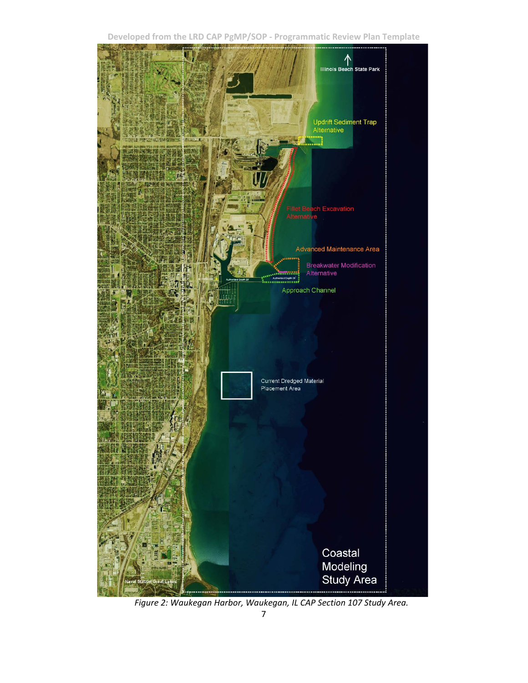**Developed from the LRD CAP PgMP/SOP - Programmatic Review Plan Template**



*Figure 2: Waukegan Harbor, Waukegan, IL CAP Section 107 Study Area.*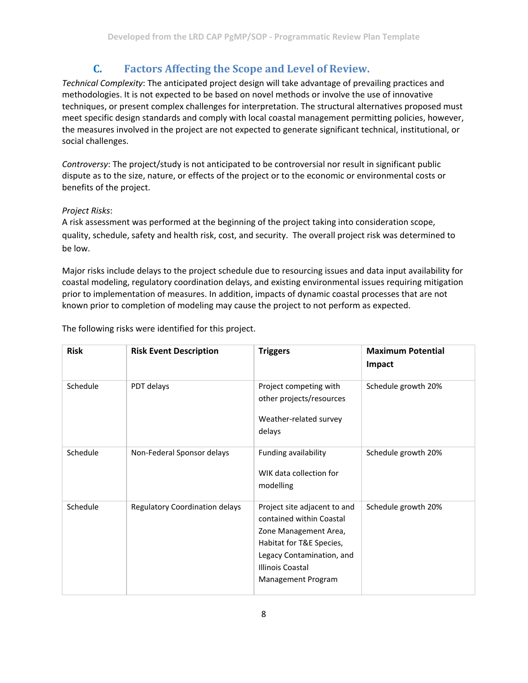### **C. Factors Affecting the Scope and Level of Review.**

*Technical Complexity*: The anticipated project design will take advantage of prevailing practices and methodologies. It is not expected to be based on novel methods or involve the use of innovative techniques, or present complex challenges for interpretation. The structural alternatives proposed must meet specific design standards and comply with local coastal management permitting policies, however, the measures involved in the project are not expected to generate significant technical, institutional, or social challenges.

*Controversy*: The project/study is not anticipated to be controversial nor result in significant public dispute as to the size, nature, or effects of the project or to the economic or environmental costs or benefits of the project.

#### *Project Risks*:

A risk assessment was performed at the beginning of the project taking into consideration scope, quality, schedule, safety and health risk, cost, and security. The overall project risk was determined to be low.

Major risks include delays to the project schedule due to resourcing issues and data input availability for coastal modeling, regulatory coordination delays, and existing environmental issues requiring mitigation prior to implementation of measures. In addition, impacts of dynamic coastal processes that are not known prior to completion of modeling may cause the project to not perform as expected.

The following risks were identified for this project.

| <b>Risk</b> | <b>Risk Event Description</b>         | <b>Triggers</b>                                                                                                                                                                      | <b>Maximum Potential</b><br>Impact |
|-------------|---------------------------------------|--------------------------------------------------------------------------------------------------------------------------------------------------------------------------------------|------------------------------------|
| Schedule    | PDT delays                            | Project competing with<br>other projects/resources<br>Weather-related survey<br>delays                                                                                               | Schedule growth 20%                |
| Schedule    | Non-Federal Sponsor delays            | Funding availability<br>WIK data collection for<br>modelling                                                                                                                         | Schedule growth 20%                |
| Schedule    | <b>Regulatory Coordination delays</b> | Project site adjacent to and<br>contained within Coastal<br>Zone Management Area,<br>Habitat for T&E Species,<br>Legacy Contamination, and<br>Illinois Coastal<br>Management Program | Schedule growth 20%                |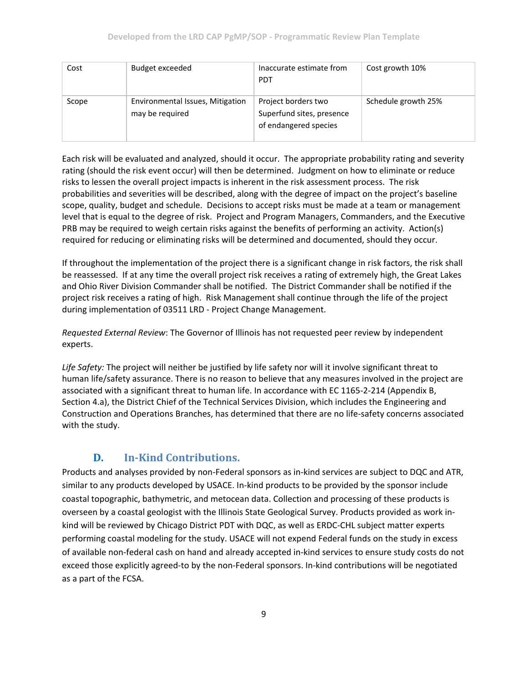| Cost  | Budget exceeded                                     | Inaccurate estimate from<br><b>PDT</b>                                    | Cost growth 10%     |
|-------|-----------------------------------------------------|---------------------------------------------------------------------------|---------------------|
| Scope | Environmental Issues, Mitigation<br>may be required | Project borders two<br>Superfund sites, presence<br>of endangered species | Schedule growth 25% |

Each risk will be evaluated and analyzed, should it occur. The appropriate probability rating and severity rating (should the risk event occur) will then be determined. Judgment on how to eliminate or reduce risks to lessen the overall project impacts is inherent in the risk assessment process. The risk probabilities and severities will be described, along with the degree of impact on the project's baseline scope, quality, budget and schedule. Decisions to accept risks must be made at a team or management level that is equal to the degree of risk. Project and Program Managers, Commanders, and the Executive PRB may be required to weigh certain risks against the benefits of performing an activity. Action(s) required for reducing or eliminating risks will be determined and documented, should they occur.

If throughout the implementation of the project there is a significant change in risk factors, the risk shall be reassessed. If at any time the overall project risk receives a rating of extremely high, the Great Lakes and Ohio River Division Commander shall be notified. The District Commander shall be notified if the project risk receives a rating of high. Risk Management shall continue through the life of the project during implementation of 03511 LRD - Project Change Management.

*Requested External Review*: The Governor of Illinois has not requested peer review by independent experts.

*Life Safety:* The project will neither be justified by life safety nor will it involve significant threat to human life/safety assurance. There is no reason to believe that any measures involved in the project are associated with a significant threat to human life. In accordance with EC 1165-2-214 (Appendix B, Section 4.a), the District Chief of the Technical Services Division, which includes the Engineering and Construction and Operations Branches, has determined that there are no life-safety concerns associated with the study.

### **D. In-Kind Contributions.**

Products and analyses provided by non-Federal sponsors as in-kind services are subject to DQC and ATR, similar to any products developed by USACE. In-kind products to be provided by the sponsor include coastal topographic, bathymetric, and metocean data. Collection and processing of these products is overseen by a coastal geologist with the Illinois State Geological Survey. Products provided as work inkind will be reviewed by Chicago District PDT with DQC, as well as ERDC-CHL subject matter experts performing coastal modeling for the study. USACE will not expend Federal funds on the study in excess of available non-federal cash on hand and already accepted in-kind services to ensure study costs do not exceed those explicitly agreed-to by the non-Federal sponsors. In-kind contributions will be negotiated as a part of the FCSA.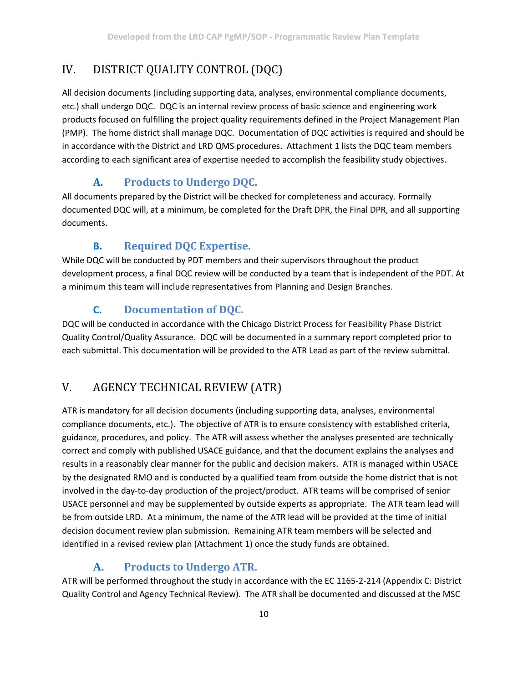# IV. DISTRICT QUALITY CONTROL (DQC)

All decision documents (including supporting data, analyses, environmental compliance documents, etc.) shall undergo DQC. DQC is an internal review process of basic science and engineering work products focused on fulfilling the project quality requirements defined in the Project Management Plan (PMP). The home district shall manage DQC. Documentation of DQC activities is required and should be in accordance with the District and LRD QMS procedures. Attachment 1 lists the DQC team members according to each significant area of expertise needed to accomplish the feasibility study objectives.

# **A. Products to Undergo DQC.**

All documents prepared by the District will be checked for completeness and accuracy. Formally documented DQC will, at a minimum, be completed for the Draft DPR, the Final DPR, and all supporting documents.

# **B. Required DQC Expertise.**

While DQC will be conducted by PDT members and their supervisors throughout the product development process, a final DQC review will be conducted by a team that is independent of the PDT. At a minimum this team will include representatives from Planning and Design Branches.

## **C. Documentation of DQC.**

DQC will be conducted in accordance with the Chicago District Process for Feasibility Phase District Quality Control/Quality Assurance. DQC will be documented in a summary report completed prior to each submittal. This documentation will be provided to the ATR Lead as part of the review submittal.

# V. AGENCY TECHNICAL REVIEW (ATR)

ATR is mandatory for all decision documents (including supporting data, analyses, environmental compliance documents, etc.). The objective of ATR is to ensure consistency with established criteria, guidance, procedures, and policy. The ATR will assess whether the analyses presented are technically correct and comply with published USACE guidance, and that the document explains the analyses and results in a reasonably clear manner for the public and decision makers. ATR is managed within USACE by the designated RMO and is conducted by a qualified team from outside the home district that is not involved in the day-to-day production of the project/product. ATR teams will be comprised of senior USACE personnel and may be supplemented by outside experts as appropriate. The ATR team lead will be from outside LRD. At a minimum, the name of the ATR lead will be provided at the time of initial decision document review plan submission. Remaining ATR team members will be selected and identified in a revised review plan (Attachment 1) once the study funds are obtained.

# **A. Products to Undergo ATR.**

ATR will be performed throughout the study in accordance with the EC 1165-2-214 (Appendix C: District Quality Control and Agency Technical Review). The ATR shall be documented and discussed at the MSC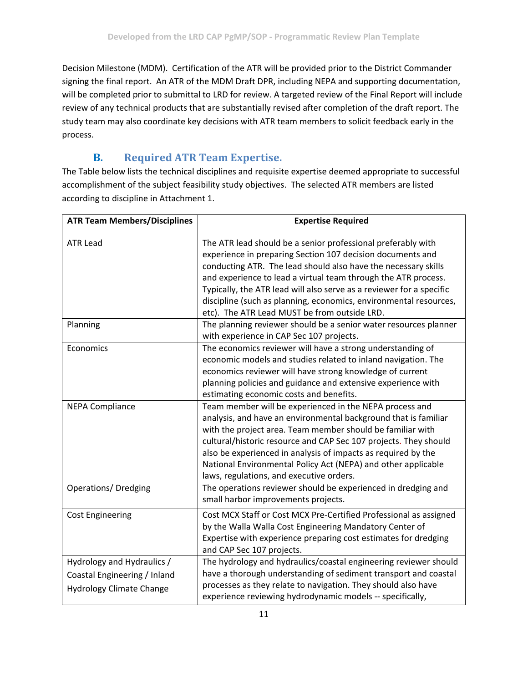Decision Milestone (MDM). Certification of the ATR will be provided prior to the District Commander signing the final report. An ATR of the MDM Draft DPR, including NEPA and supporting documentation, will be completed prior to submittal to LRD for review. A targeted review of the Final Report will include review of any technical products that are substantially revised after completion of the draft report. The study team may also coordinate key decisions with ATR team members to solicit feedback early in the process.

## **B. Required ATR Team Expertise.**

The Table below lists the technical disciplines and requisite expertise deemed appropriate to successful accomplishment of the subject feasibility study objectives. The selected ATR members are listed according to discipline in Attachment 1.

| <b>ATR Team Members/Disciplines</b>                                                           | <b>Expertise Required</b>                                                                                                                                                                                                                                                                                                                                                                                                                                   |
|-----------------------------------------------------------------------------------------------|-------------------------------------------------------------------------------------------------------------------------------------------------------------------------------------------------------------------------------------------------------------------------------------------------------------------------------------------------------------------------------------------------------------------------------------------------------------|
| <b>ATR Lead</b>                                                                               | The ATR lead should be a senior professional preferably with<br>experience in preparing Section 107 decision documents and<br>conducting ATR. The lead should also have the necessary skills<br>and experience to lead a virtual team through the ATR process.<br>Typically, the ATR lead will also serve as a reviewer for a specific<br>discipline (such as planning, economics, environmental resources,<br>etc). The ATR Lead MUST be from outside LRD. |
| Planning                                                                                      | The planning reviewer should be a senior water resources planner<br>with experience in CAP Sec 107 projects.                                                                                                                                                                                                                                                                                                                                                |
| Economics                                                                                     | The economics reviewer will have a strong understanding of<br>economic models and studies related to inland navigation. The<br>economics reviewer will have strong knowledge of current<br>planning policies and guidance and extensive experience with<br>estimating economic costs and benefits.                                                                                                                                                          |
| <b>NEPA Compliance</b>                                                                        | Team member will be experienced in the NEPA process and<br>analysis, and have an environmental background that is familiar<br>with the project area. Team member should be familiar with<br>cultural/historic resource and CAP Sec 107 projects. They should<br>also be experienced in analysis of impacts as required by the<br>National Environmental Policy Act (NEPA) and other applicable<br>laws, regulations, and executive orders.                  |
| <b>Operations/ Dredging</b>                                                                   | The operations reviewer should be experienced in dredging and<br>small harbor improvements projects.                                                                                                                                                                                                                                                                                                                                                        |
| <b>Cost Engineering</b>                                                                       | Cost MCX Staff or Cost MCX Pre-Certified Professional as assigned<br>by the Walla Walla Cost Engineering Mandatory Center of<br>Expertise with experience preparing cost estimates for dredging<br>and CAP Sec 107 projects.                                                                                                                                                                                                                                |
| Hydrology and Hydraulics /<br>Coastal Engineering / Inland<br><b>Hydrology Climate Change</b> | The hydrology and hydraulics/coastal engineering reviewer should<br>have a thorough understanding of sediment transport and coastal<br>processes as they relate to navigation. They should also have<br>experience reviewing hydrodynamic models -- specifically,                                                                                                                                                                                           |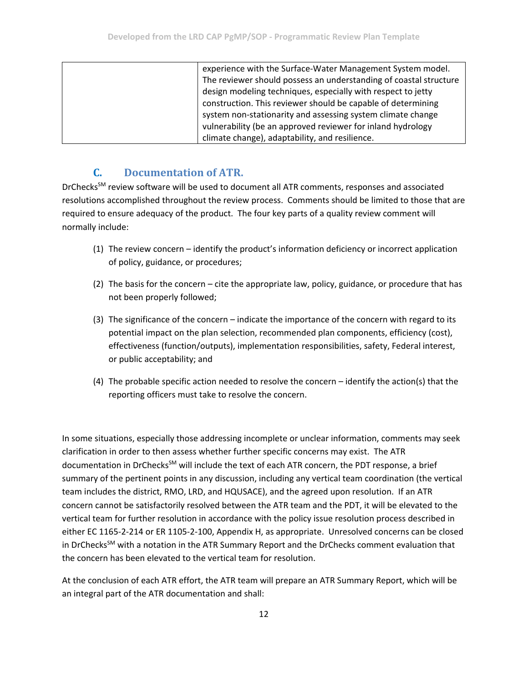| experience with the Surface-Water Management System model.        |
|-------------------------------------------------------------------|
| The reviewer should possess an understanding of coastal structure |
| design modeling techniques, especially with respect to jetty      |
| construction. This reviewer should be capable of determining      |
| system non-stationarity and assessing system climate change       |
| vulnerability (be an approved reviewer for inland hydrology       |
| climate change), adaptability, and resilience.                    |

#### **C. Documentation of ATR.**

DrChecks<sup>SM</sup> review software will be used to document all ATR comments, responses and associated resolutions accomplished throughout the review process. Comments should be limited to those that are required to ensure adequacy of the product. The four key parts of a quality review comment will normally include:

- (1) The review concern identify the product's information deficiency or incorrect application of policy, guidance, or procedures;
- (2) The basis for the concern cite the appropriate law, policy, guidance, or procedure that has not been properly followed;
- (3) The significance of the concern indicate the importance of the concern with regard to its potential impact on the plan selection, recommended plan components, efficiency (cost), effectiveness (function/outputs), implementation responsibilities, safety, Federal interest, or public acceptability; and
- (4) The probable specific action needed to resolve the concern identify the action(s) that the reporting officers must take to resolve the concern.

In some situations, especially those addressing incomplete or unclear information, comments may seek clarification in order to then assess whether further specific concerns may exist. The ATR documentation in DrChecks<sup>SM</sup> will include the text of each ATR concern, the PDT response, a brief summary of the pertinent points in any discussion, including any vertical team coordination (the vertical team includes the district, RMO, LRD, and HQUSACE), and the agreed upon resolution. If an ATR concern cannot be satisfactorily resolved between the ATR team and the PDT, it will be elevated to the vertical team for further resolution in accordance with the policy issue resolution process described in either EC 1165-2-214 or ER 1105-2-100, Appendix H, as appropriate. Unresolved concerns can be closed in DrChecks<sup>SM</sup> with a notation in the ATR Summary Report and the DrChecks comment evaluation that the concern has been elevated to the vertical team for resolution.

At the conclusion of each ATR effort, the ATR team will prepare an ATR Summary Report, which will be an integral part of the ATR documentation and shall: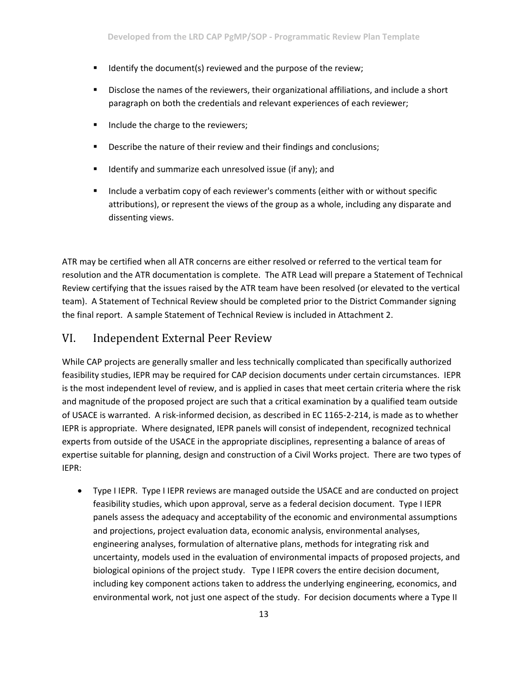- $\blacksquare$  Identify the document(s) reviewed and the purpose of the review;
- Disclose the names of the reviewers, their organizational affiliations, and include a short paragraph on both the credentials and relevant experiences of each reviewer;
- Include the charge to the reviewers;
- **Describe the nature of their review and their findings and conclusions;**
- **If** Identify and summarize each unresolved issue (if any); and
- **Include a verbatim copy of each reviewer's comments (either with or without specific** attributions), or represent the views of the group as a whole, including any disparate and dissenting views.

ATR may be certified when all ATR concerns are either resolved or referred to the vertical team for resolution and the ATR documentation is complete. The ATR Lead will prepare a Statement of Technical Review certifying that the issues raised by the ATR team have been resolved (or elevated to the vertical team). A Statement of Technical Review should be completed prior to the District Commander signing the final report. A sample Statement of Technical Review is included in Attachment 2.

#### VI. Independent External Peer Review

While CAP projects are generally smaller and less technically complicated than specifically authorized feasibility studies, IEPR may be required for CAP decision documents under certain circumstances. IEPR is the most independent level of review, and is applied in cases that meet certain criteria where the risk and magnitude of the proposed project are such that a critical examination by a qualified team outside of USACE is warranted. A risk-informed decision, as described in EC 1165-2-214, is made as to whether IEPR is appropriate. Where designated, IEPR panels will consist of independent, recognized technical experts from outside of the USACE in the appropriate disciplines, representing a balance of areas of expertise suitable for planning, design and construction of a Civil Works project. There are two types of IEPR:

• Type I IEPR. Type I IEPR reviews are managed outside the USACE and are conducted on project feasibility studies, which upon approval, serve as a federal decision document. Type I IEPR panels assess the adequacy and acceptability of the economic and environmental assumptions and projections, project evaluation data, economic analysis, environmental analyses, engineering analyses, formulation of alternative plans, methods for integrating risk and uncertainty, models used in the evaluation of environmental impacts of proposed projects, and biological opinions of the project study. Type I IEPR covers the entire decision document, including key component actions taken to address the underlying engineering, economics, and environmental work, not just one aspect of the study. For decision documents where a Type II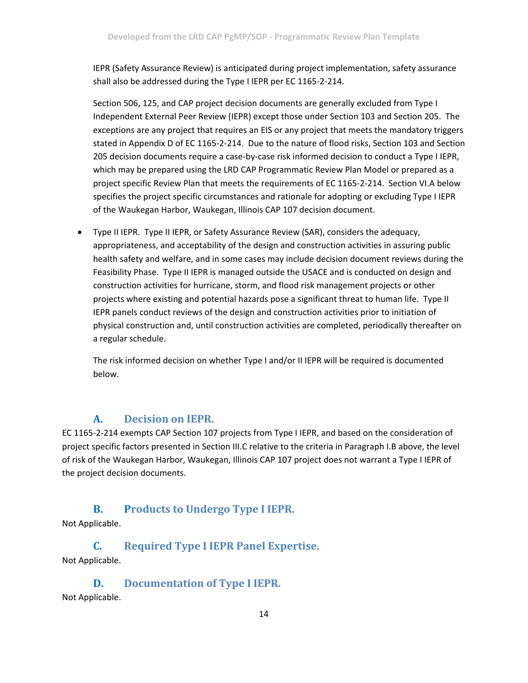IEPR (Safety Assurance Review) is anticipated during project implementation, safety assurance shall also be addressed during the Type I IEPR per EC 1165-2-214.

Section 506, 125, and CAP project decision documents are generally excluded from Type I Independent External Peer Review (IEPR) except those under Section 103 and Section 205. The exceptions are any project that requires an EIS or any project that meets the mandatory triggers stated in Appendix D of EC 1165-2-214. Due to the nature of flood risks, Section 103 and Section 205 decision documents require a case-by-case risk informed decision to conduct a Type I IEPR, which may be prepared using the LRD CAP Programmatic Review Plan Model or prepared as a project specific Review Plan that meets the requirements of EC 1165-2-214. Section VI.A below specifies the project specific circumstances and rationale for adopting or excluding Type I IEPR of the Waukegan Harbor, Waukegan, Illinois CAP 107 decision document.

• Type II IEPR. Type II IEPR, or Safety Assurance Review (SAR), considers the adequacy, appropriateness, and acceptability of the design and construction activities in assuring public health safety and welfare, and in some cases may include decision document reviews during the Feasibility Phase. Type II IEPR is managed outside the USACE and is conducted on design and construction activities for hurricane, storm, and flood risk management projects or other projects where existing and potential hazards pose a significant threat to human life. Type II IEPR panels conduct reviews of the design and construction activities prior to initiation of physical construction and, until construction activities are completed, periodically thereafter on a regular schedule.

The risk informed decision on whether Type I and/or II IEPR will be required is documented below.

### **A. Decision on IEPR.**

EC 1165-2-214 exempts CAP Section 107 projects from Type I IEPR, and based on the consideration of project specific factors presented in Section III.C relative to the criteria in Paragraph I.B above, the level of risk of the Waukegan Harbor, Waukegan, Illinois CAP 107 project does not warrant a Type I IEPR of the project decision documents.

# **B. Products to Undergo Type I IEPR.**

Not Applicable.

**C. Required Type I IEPR Panel Expertise.**  Not Applicable.

**D. Documentation of Type I IEPR.**  Not Applicable.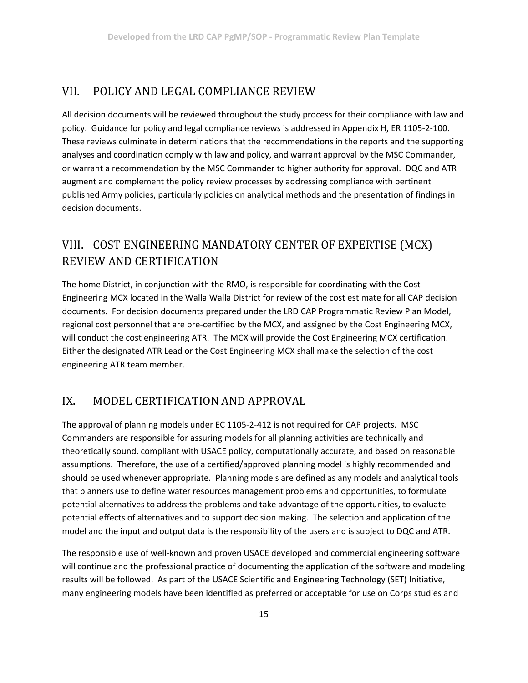## VII. POLICY AND LEGAL COMPLIANCE REVIEW

All decision documents will be reviewed throughout the study process for their compliance with law and policy. Guidance for policy and legal compliance reviews is addressed in Appendix H, ER 1105-2-100. These reviews culminate in determinations that the recommendations in the reports and the supporting analyses and coordination comply with law and policy, and warrant approval by the MSC Commander, or warrant a recommendation by the MSC Commander to higher authority for approval. DQC and ATR augment and complement the policy review processes by addressing compliance with pertinent published Army policies, particularly policies on analytical methods and the presentation of findings in decision documents.

# VIII. COST ENGINEERING MANDATORY CENTER OF EXPERTISE (MCX) REVIEW AND CERTIFICATION

The home District, in conjunction with the RMO, is responsible for coordinating with the Cost Engineering MCX located in the Walla Walla District for review of the cost estimate for all CAP decision documents. For decision documents prepared under the LRD CAP Programmatic Review Plan Model, regional cost personnel that are pre-certified by the MCX, and assigned by the Cost Engineering MCX, will conduct the cost engineering ATR. The MCX will provide the Cost Engineering MCX certification. Either the designated ATR Lead or the Cost Engineering MCX shall make the selection of the cost engineering ATR team member.

#### IX. MODEL CERTIFICATION AND APPROVAL

The approval of planning models under EC 1105-2-412 is not required for CAP projects. MSC Commanders are responsible for assuring models for all planning activities are technically and theoretically sound, compliant with USACE policy, computationally accurate, and based on reasonable assumptions. Therefore, the use of a certified/approved planning model is highly recommended and should be used whenever appropriate. Planning models are defined as any models and analytical tools that planners use to define water resources management problems and opportunities, to formulate potential alternatives to address the problems and take advantage of the opportunities, to evaluate potential effects of alternatives and to support decision making. The selection and application of the model and the input and output data is the responsibility of the users and is subject to DQC and ATR.

The responsible use of well-known and proven USACE developed and commercial engineering software will continue and the professional practice of documenting the application of the software and modeling results will be followed. As part of the USACE Scientific and Engineering Technology (SET) Initiative, many engineering models have been identified as preferred or acceptable for use on Corps studies and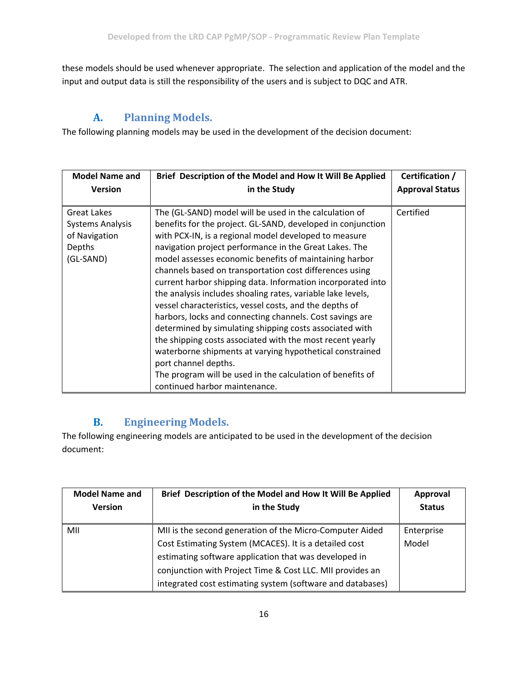these models should be used whenever appropriate. The selection and application of the model and the input and output data is still the responsibility of the users and is subject to DQC and ATR.

# **A. Planning Models.**

The following planning models may be used in the development of the decision document:

| <b>Model Name and</b>   | Brief Description of the Model and How It Will Be Applied   | Certification /        |
|-------------------------|-------------------------------------------------------------|------------------------|
| <b>Version</b>          | in the Study                                                | <b>Approval Status</b> |
|                         |                                                             |                        |
| <b>Great Lakes</b>      | The (GL-SAND) model will be used in the calculation of      | Certified              |
| <b>Systems Analysis</b> | benefits for the project. GL-SAND, developed in conjunction |                        |
| of Navigation           | with PCX-IN, is a regional model developed to measure       |                        |
| Depths                  | navigation project performance in the Great Lakes. The      |                        |
| (GL-SAND)               | model assesses economic benefits of maintaining harbor      |                        |
|                         | channels based on transportation cost differences using     |                        |
|                         | current harbor shipping data. Information incorporated into |                        |
|                         | the analysis includes shoaling rates, variable lake levels, |                        |
|                         | vessel characteristics, vessel costs, and the depths of     |                        |
|                         | harbors, locks and connecting channels. Cost savings are    |                        |
|                         | determined by simulating shipping costs associated with     |                        |
|                         | the shipping costs associated with the most recent yearly   |                        |
|                         | waterborne shipments at varying hypothetical constrained    |                        |
|                         | port channel depths.                                        |                        |
|                         | The program will be used in the calculation of benefits of  |                        |
|                         | continued harbor maintenance.                               |                        |

# **B. Engineering Models.**

The following engineering models are anticipated to be used in the development of the decision document:

| <b>Model Name and</b><br><b>Version</b> | Brief Description of the Model and How It Will Be Applied<br>in the Study | <b>Approval</b><br><b>Status</b> |
|-----------------------------------------|---------------------------------------------------------------------------|----------------------------------|
| MII                                     | MII is the second generation of the Micro-Computer Aided                  | Enterprise                       |
|                                         | Cost Estimating System (MCACES). It is a detailed cost                    | Model                            |
|                                         | estimating software application that was developed in                     |                                  |
|                                         | conjunction with Project Time & Cost LLC. MII provides an                 |                                  |
|                                         | integrated cost estimating system (software and databases)                |                                  |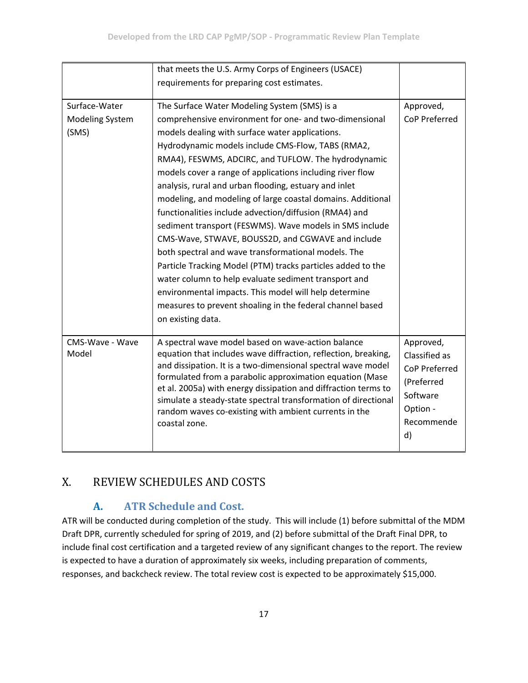|                                                  | that meets the U.S. Army Corps of Engineers (USACE)<br>requirements for preparing cost estimates.                                                                                                                                                                                                                                                                                                                                                                                                                                                                                                                                                                                                                                                                                                                                                                                                                                                             |                                                                                                              |
|--------------------------------------------------|---------------------------------------------------------------------------------------------------------------------------------------------------------------------------------------------------------------------------------------------------------------------------------------------------------------------------------------------------------------------------------------------------------------------------------------------------------------------------------------------------------------------------------------------------------------------------------------------------------------------------------------------------------------------------------------------------------------------------------------------------------------------------------------------------------------------------------------------------------------------------------------------------------------------------------------------------------------|--------------------------------------------------------------------------------------------------------------|
| Surface-Water<br><b>Modeling System</b><br>(SMS) | The Surface Water Modeling System (SMS) is a<br>comprehensive environment for one- and two-dimensional<br>models dealing with surface water applications.<br>Hydrodynamic models include CMS-Flow, TABS (RMA2,<br>RMA4), FESWMS, ADCIRC, and TUFLOW. The hydrodynamic<br>models cover a range of applications including river flow<br>analysis, rural and urban flooding, estuary and inlet<br>modeling, and modeling of large coastal domains. Additional<br>functionalities include advection/diffusion (RMA4) and<br>sediment transport (FESWMS). Wave models in SMS include<br>CMS-Wave, STWAVE, BOUSS2D, and CGWAVE and include<br>both spectral and wave transformational models. The<br>Particle Tracking Model (PTM) tracks particles added to the<br>water column to help evaluate sediment transport and<br>environmental impacts. This model will help determine<br>measures to prevent shoaling in the federal channel based<br>on existing data. | Approved,<br>CoP Preferred                                                                                   |
| CMS-Wave - Wave<br>Model                         | A spectral wave model based on wave-action balance<br>equation that includes wave diffraction, reflection, breaking,<br>and dissipation. It is a two-dimensional spectral wave model<br>formulated from a parabolic approximation equation (Mase<br>et al. 2005a) with energy dissipation and diffraction terms to<br>simulate a steady-state spectral transformation of directional<br>random waves co-existing with ambient currents in the<br>coastal zone.                                                                                                                                                                                                                                                                                                                                                                                                                                                                                                | Approved,<br>Classified as<br><b>CoP Preferred</b><br>(Preferred<br>Software<br>Option -<br>Recommende<br>d) |

# X. REVIEW SCHEDULES AND COSTS

### **A. ATR Schedule and Cost.**

ATR will be conducted during completion of the study. This will include (1) before submittal of the MDM Draft DPR, currently scheduled for spring of 2019, and (2) before submittal of the Draft Final DPR, to include final cost certification and a targeted review of any significant changes to the report. The review is expected to have a duration of approximately six weeks, including preparation of comments, responses, and backcheck review. The total review cost is expected to be approximately \$15,000.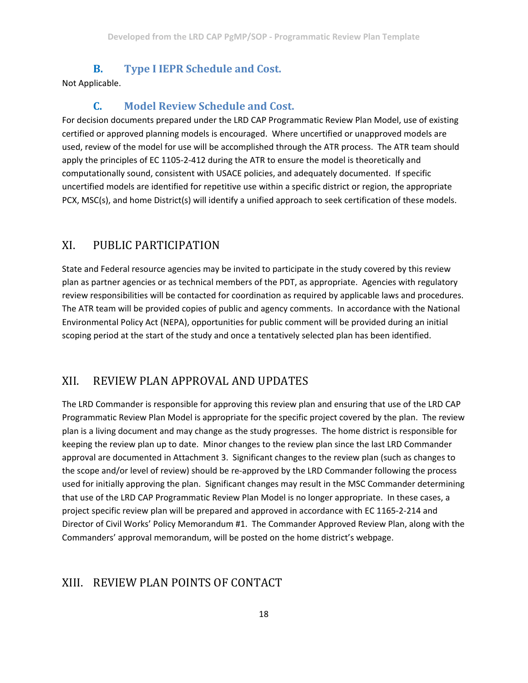#### **B. Type I IEPR Schedule and Cost.**

Not Applicable.

#### **C. Model Review Schedule and Cost.**

For decision documents prepared under the LRD CAP Programmatic Review Plan Model, use of existing certified or approved planning models is encouraged. Where uncertified or unapproved models are used, review of the model for use will be accomplished through the ATR process. The ATR team should apply the principles of EC 1105-2-412 during the ATR to ensure the model is theoretically and computationally sound, consistent with USACE policies, and adequately documented. If specific uncertified models are identified for repetitive use within a specific district or region, the appropriate PCX, MSC(s), and home District(s) will identify a unified approach to seek certification of these models.

### XI. PUBLIC PARTICIPATION

State and Federal resource agencies may be invited to participate in the study covered by this review plan as partner agencies or as technical members of the PDT, as appropriate. Agencies with regulatory review responsibilities will be contacted for coordination as required by applicable laws and procedures. The ATR team will be provided copies of public and agency comments. In accordance with the National Environmental Policy Act (NEPA), opportunities for public comment will be provided during an initial scoping period at the start of the study and once a tentatively selected plan has been identified.

#### XII. REVIEW PLAN APPROVAL AND UPDATES

The LRD Commander is responsible for approving this review plan and ensuring that use of the LRD CAP Programmatic Review Plan Model is appropriate for the specific project covered by the plan. The review plan is a living document and may change as the study progresses. The home district is responsible for keeping the review plan up to date. Minor changes to the review plan since the last LRD Commander approval are documented in Attachment 3. Significant changes to the review plan (such as changes to the scope and/or level of review) should be re-approved by the LRD Commander following the process used for initially approving the plan. Significant changes may result in the MSC Commander determining that use of the LRD CAP Programmatic Review Plan Model is no longer appropriate. In these cases, a project specific review plan will be prepared and approved in accordance with EC 1165-2-214 and Director of Civil Works' Policy Memorandum #1. The Commander Approved Review Plan, along with the Commanders' approval memorandum, will be posted on the home district's webpage.

#### XIII. REVIEW PLAN POINTS OF CONTACT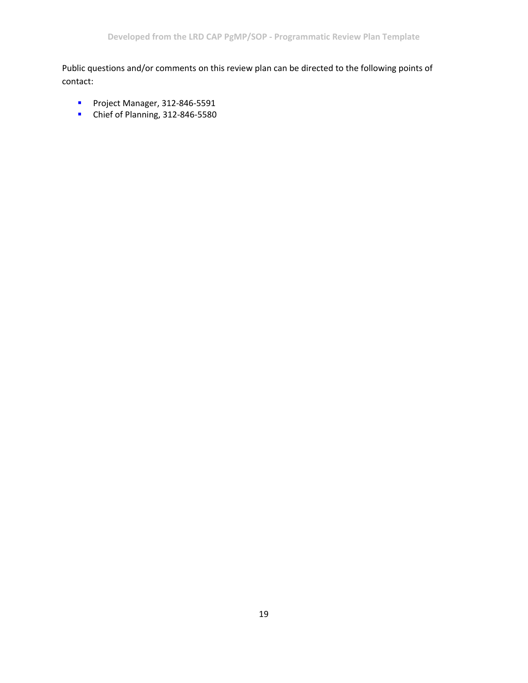Public questions and/or comments on this review plan can be directed to the following points of contact:

- Project Manager, 312-846-5591
- Chief of Planning, 312-846-5580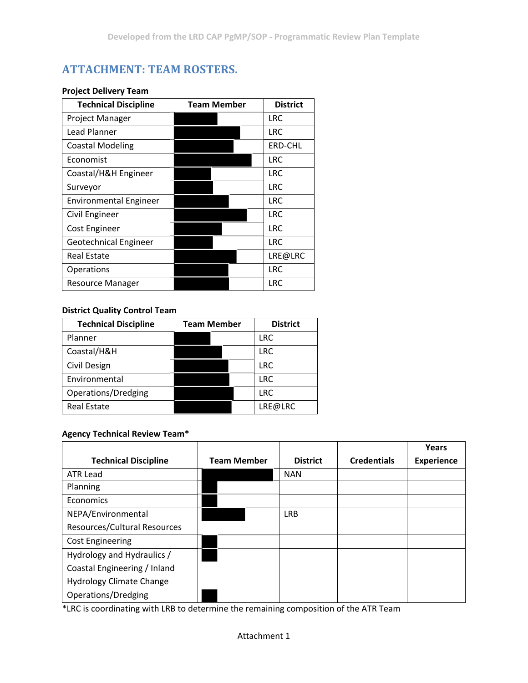# **ATTACHMENT: TEAM ROSTERS.**

#### **Project Delivery Team**

| <b>Technical Discipline</b>   | Team Member | <b>District</b> |
|-------------------------------|-------------|-----------------|
| Project Manager               |             | <b>LRC</b>      |
| <b>Lead Planner</b>           |             | <b>LRC</b>      |
| <b>Coastal Modeling</b>       |             | ERD-CHL         |
| Economist                     |             | <b>LRC</b>      |
| Coastal/H&H Engineer          |             | <b>LRC</b>      |
| Surveyor                      |             | <b>LRC</b>      |
| <b>Environmental Engineer</b> |             | <b>LRC</b>      |
| Civil Engineer                |             | <b>LRC</b>      |
| <b>Cost Engineer</b>          |             | <b>LRC</b>      |
| Geotechnical Engineer         |             | <b>LRC</b>      |
| <b>Real Estate</b>            |             | LRE@LRC         |
| Operations                    |             | <b>LRC</b>      |
| Resource Manager              |             | <b>LRC</b>      |

#### **District Quality Control Team**

| <b>Technical Discipline</b> | <b>Team Member</b> | <b>District</b> |
|-----------------------------|--------------------|-----------------|
| Planner                     |                    | <b>LRC</b>      |
| Coastal/H&H                 |                    | <b>LRC</b>      |
| Civil Design                |                    | <b>LRC</b>      |
| Environmental               |                    | <b>LRC</b>      |
| Operations/Dredging         |                    | <b>LRC</b>      |
| <b>Real Estate</b>          |                    | LRE@LRC         |

#### **Agency Technical Review Team\***

|                                 |                    |                 |                    | Years             |
|---------------------------------|--------------------|-----------------|--------------------|-------------------|
| <b>Technical Discipline</b>     | <b>Team Member</b> | <b>District</b> | <b>Credentials</b> | <b>Experience</b> |
| <b>ATR Lead</b>                 |                    | <b>NAN</b>      |                    |                   |
| Planning                        |                    |                 |                    |                   |
| Economics                       |                    |                 |                    |                   |
| NEPA/Environmental              |                    | <b>LRB</b>      |                    |                   |
| Resources/Cultural Resources    |                    |                 |                    |                   |
| <b>Cost Engineering</b>         |                    |                 |                    |                   |
| Hydrology and Hydraulics /      |                    |                 |                    |                   |
| Coastal Engineering / Inland    |                    |                 |                    |                   |
| <b>Hydrology Climate Change</b> |                    |                 |                    |                   |
| Operations/Dredging             |                    |                 |                    |                   |

\*LRC is coordinating with LRB to determine the remaining composition of the ATR Team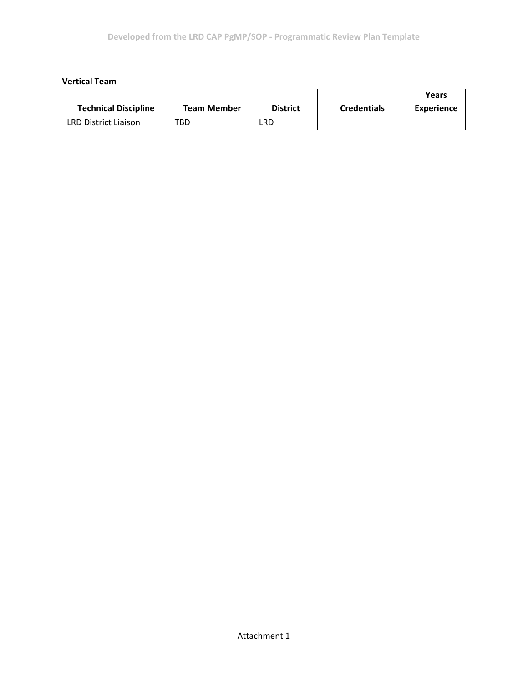#### **Vertical Team**

|                             |             |                 |                    | Years      |
|-----------------------------|-------------|-----------------|--------------------|------------|
| <b>Technical Discipline</b> | Team Member | <b>District</b> | <b>Credentials</b> | Experience |
| LRD District Liaison        | TBD         | LRD             |                    |            |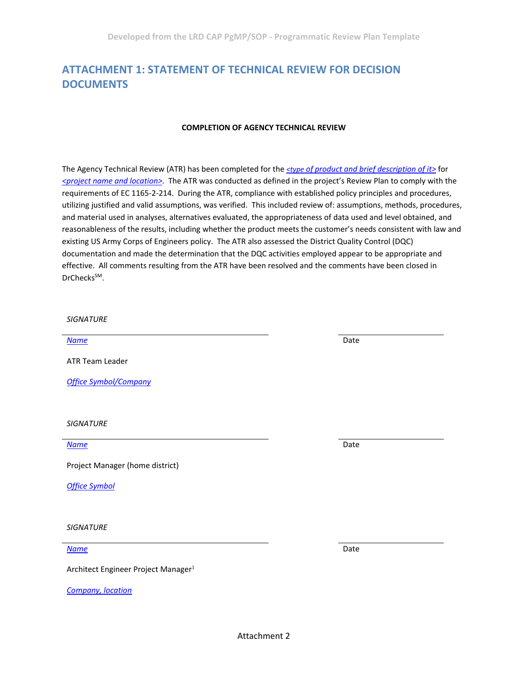## **ATTACHMENT 1: STATEMENT OF TECHNICAL REVIEW FOR DECISION DOCUMENTS**

#### **COMPLETION OF AGENCY TECHNICAL REVIEW**

The Agency Technical Review (ATR) has been completed for the *<type of product and brief description of it>* for *<project name and location>*. The ATR was conducted as defined in the project's Review Plan to comply with the requirements of EC 1165-2-214. During the ATR, compliance with established policy principles and procedures, utilizing justified and valid assumptions, was verified. This included review of: assumptions, methods, procedures, and material used in analyses, alternatives evaluated, the appropriateness of data used and level obtained, and reasonableness of the results, including whether the product meets the customer's needs consistent with law and existing US Army Corps of Engineers policy. The ATR also assessed the District Quality Control (DQC) documentation and made the determination that the DQC activities employed appear to be appropriate and effective. All comments resulting from the ATR have been resolved and the comments have been closed in DrChecks<sup>SM</sup>.

*SIGNATURE*

*Name* Date

ATR Team Leader

*Office Symbol/Company*

*SIGNATURE*

*Name* Date

Project Manager (home district)

*Office Symbol*

*SIGNATURE*

*Name* Date

Architect Engineer Project Manager<sup>1</sup>

*Company, location*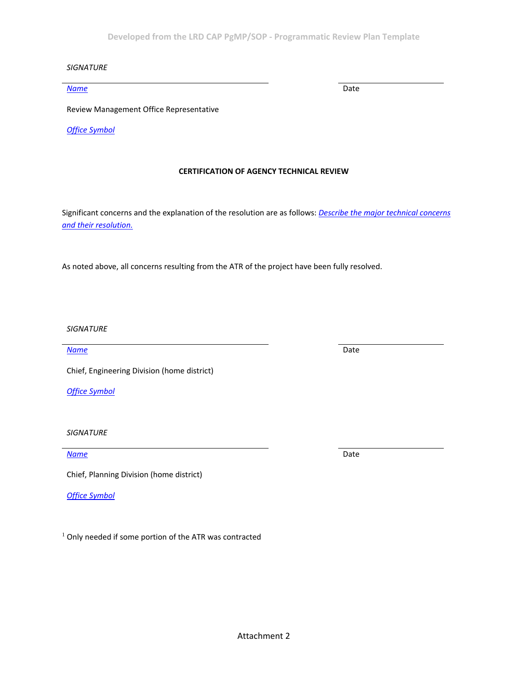**Developed from the LRD CAP PgMP/SOP - Programmatic Review Plan Template**

*SIGNATURE*

*Name* Date

Review Management Office Representative

*Office Symbol*

#### **CERTIFICATION OF AGENCY TECHNICAL REVIEW**

Significant concerns and the explanation of the resolution are as follows: *Describe the major technical concerns and their resolution.*

As noted above, all concerns resulting from the ATR of the project have been fully resolved.

*SIGNATURE*

*Name* Date

Chief, Engineering Division (home district)

*Office Symbol*

*SIGNATURE*

*Name* Date

Chief, Planning Division (home district)

*Office Symbol*

 $1$  Only needed if some portion of the ATR was contracted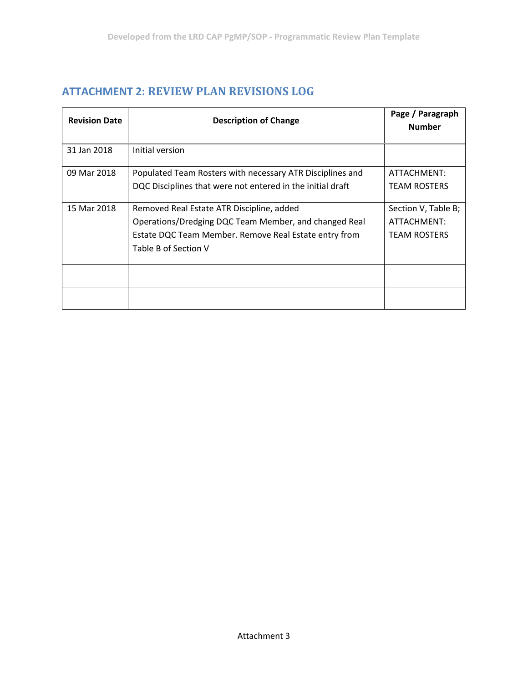# **ATTACHMENT 2: REVIEW PLAN REVISIONS LOG**

| <b>Revision Date</b> | <b>Description of Change</b>                               | Page / Paragraph<br><b>Number</b> |
|----------------------|------------------------------------------------------------|-----------------------------------|
| 31 Jan 2018          | Initial version                                            |                                   |
| 09 Mar 2018          | Populated Team Rosters with necessary ATR Disciplines and  | ATTACHMENT:                       |
|                      | DQC Disciplines that were not entered in the initial draft | <b>TEAM ROSTERS</b>               |
| 15 Mar 2018          | Removed Real Estate ATR Discipline, added                  | Section V, Table B;               |
|                      | Operations/Dredging DQC Team Member, and changed Real      | ATTACHMENT:                       |
|                      | Estate DQC Team Member. Remove Real Estate entry from      | <b>TEAM ROSTERS</b>               |
|                      | Table B of Section V                                       |                                   |
|                      |                                                            |                                   |
|                      |                                                            |                                   |